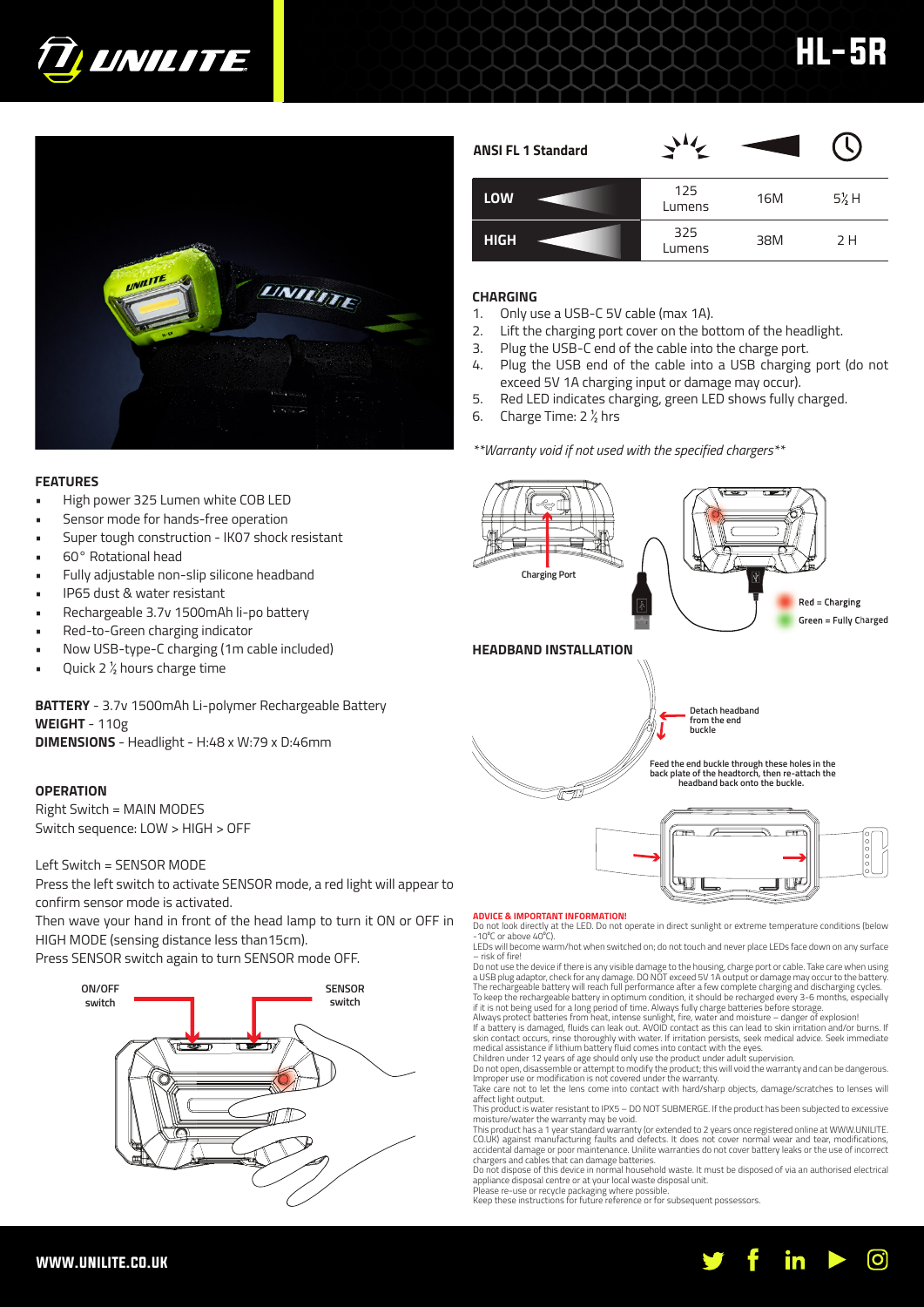



# 125  $L = \frac{125}{L}$  16M  $5\frac{1}{2}$  H **HIGH ANSI FL 1 Standard** 325 Protocol 38M 2 H

HL-5R

# **CHARGING**

- 1. Only use a USB-C 5V cable (max 1A).
- 2. Lift the charging port cover on the bottom of the headlight.
- 3. Plug the USB-C end of the cable into the charge port.
- 4. Plug the USB end of the cable into a USB charging port (do not exceed 5V 1A charging input or damage may occur).
- 5. Red LED indicates charging, green LED shows fully charged.
- 6. Charge Time:  $2 \frac{1}{2}$  hrs

# *\*\*Warranty void if not used with the specified chargers\*\**

# **FEATURES**

- High power 325 Lumen white COB LED
- Sensor mode for hands-free operation
- Super tough construction IK07 shock resistant
- 60° Rotational head
- Fully adjustable non-slip silicone headband
- IP65 dust & water resistant
- Rechargeable 3.7v 1500mAh li-po battery
- Red-to-Green charging indicator
- Now USB-type-C charging (1m cable included)
- Quick 2  $\frac{1}{2}$  hours charge time

**BATTERY** - 3.7v 1500mAh Li-polymer Rechargeable Battery **WEIGHT** - 110g **DIMENSIONS** - Headlight - H:48 x W:79 x D:46mm

# **OPERATION**

Right Switch = MAIN MODES Switch sequence: LOW > HIGH > OFF

Left Switch = SENSOR MODE

Press the left switch to activate SENSOR mode, a red light will appear to confirm sensor mode is activated.

Then wave your hand in front of the head lamp to turn it ON or OFF in HIGH MODE (sensing distance less than15cm).

Press SENSOR switch again to turn SENSOR mode OFF.





## **ADVICE & IMPORTANT INFORMATION!**

Do not look directly at the LED. Do not operate in direct sunlight or extreme temperature conditions (below<br>−10℃ or above 40℃). LEDs will become warm/hot when switched on; do not touch and never place LEDs face down on any surface

– risk of fire! Do not use the device if there is any visible damage to the housing, charge port or cable. Take care when using a USB plug adaptor, check for any damage. DO NOT exceed 5V 1A output or damage may occur to the battery.

The rechargeable battery will reach full performance after a few complete charging and discharging cycles. To keep the rechargeable battery in optimum condition, it should be recharged every 3-6 months, especially if it is not being used for a long period of time. Always fully charge batteries before storage.<br>Always protect batteries from heat, intense sunlight, fire, water and moisture – danger of explosion!<br>If a battery is damaged

skin contact occurs, rinse thoroughly with water. If irritation persists, seek medical advice. Seek immediate<br>medical assistance if lithium battery fluid comes into contact with the eyes.<br>Children under 12 years of age sho

Do not open, disassemble or attempt to modify the product; this will void the warranty and can be dangerous. Improper use or modification is not covered under the warranty. Take care not to let the lens come into contact with hard/sharp objects, damage/scratches to lenses will

affect light output. This product is water resistant to IPX5 – DO NOT SUBMERGE. If the product has been subjected to excessive

moisture/water the warranty may be void. This product has a 1 year standard warranty (or extended to 2 years once registered online at WWW.UNILITE.

CO.UK) against manufacturing faults and defects. It does not cover normal wear and tear, modifications, accidental damage or poor maintenance. Unilite warranties do not cover battery leaks or the use of incorrect chargers and cables that can damage batteries. Do not dispose of this device in normal household waste. It must be disposed of via an authorised electrical

appliance disposal centre or at your local waste disposal unit. Please re-use or recycle packaging where possible. Keep these instructions for future reference or for subsequent possessors.